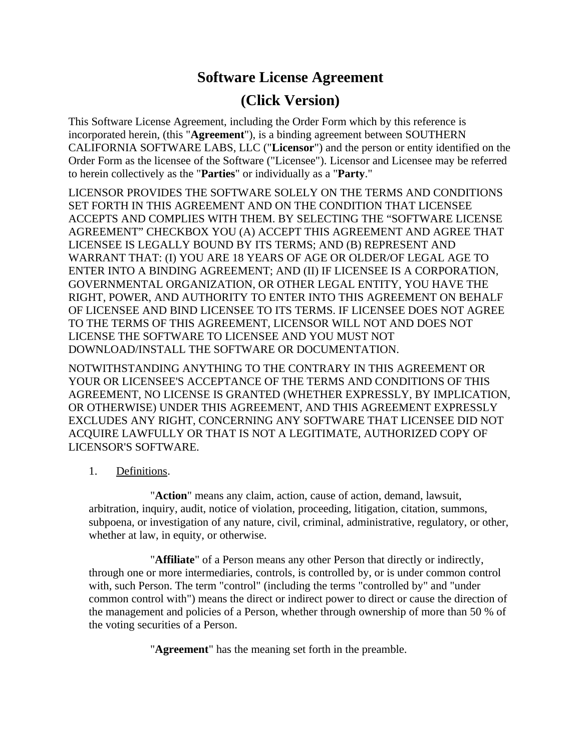# **Software License Agreement**

# **(Click Version)**

This Software License Agreement, including the Order Form which by this reference is incorporated herein, (this "**Agreement**"), is a binding agreement between SOUTHERN CALIFORNIA SOFTWARE LABS, LLC ("**Licensor**") and the person or entity identified on the Order Form as the licensee of the Software ("Licensee"). Licensor and Licensee may be referred to herein collectively as the "**Parties**" or individually as a "**Party**."

LICENSOR PROVIDES THE SOFTWARE SOLELY ON THE TERMS AND CONDITIONS SET FORTH IN THIS AGREEMENT AND ON THE CONDITION THAT LICENSEE ACCEPTS AND COMPLIES WITH THEM. BY SELECTING THE "SOFTWARE LICENSE AGREEMENT" CHECKBOX YOU (A) ACCEPT THIS AGREEMENT AND AGREE THAT LICENSEE IS LEGALLY BOUND BY ITS TERMS; AND (B) REPRESENT AND WARRANT THAT: (I) YOU ARE 18 YEARS OF AGE OR OLDER/OF LEGAL AGE TO ENTER INTO A BINDING AGREEMENT; AND (II) IF LICENSEE IS A CORPORATION, GOVERNMENTAL ORGANIZATION, OR OTHER LEGAL ENTITY, YOU HAVE THE RIGHT, POWER, AND AUTHORITY TO ENTER INTO THIS AGREEMENT ON BEHALF OF LICENSEE AND BIND LICENSEE TO ITS TERMS. IF LICENSEE DOES NOT AGREE TO THE TERMS OF THIS AGREEMENT, LICENSOR WILL NOT AND DOES NOT LICENSE THE SOFTWARE TO LICENSEE AND YOU MUST NOT DOWNLOAD/INSTALL THE SOFTWARE OR DOCUMENTATION.

NOTWITHSTANDING ANYTHING TO THE CONTRARY IN THIS AGREEMENT OR YOUR OR LICENSEE'S ACCEPTANCE OF THE TERMS AND CONDITIONS OF THIS AGREEMENT, NO LICENSE IS GRANTED (WHETHER EXPRESSLY, BY IMPLICATION, OR OTHERWISE) UNDER THIS AGREEMENT, AND THIS AGREEMENT EXPRESSLY EXCLUDES ANY RIGHT, CONCERNING ANY SOFTWARE THAT LICENSEE DID NOT ACQUIRE LAWFULLY OR THAT IS NOT A LEGITIMATE, AUTHORIZED COPY OF LICENSOR'S SOFTWARE.

<span id="page-0-0"></span>1. Definitions.

"**Action**" means any claim, action, cause of action, demand, lawsuit, arbitration, inquiry, audit, notice of violation, proceeding, litigation, citation, summons, subpoena, or investigation of any nature, civil, criminal, administrative, regulatory, or other, whether at law, in equity, or otherwise.

"**Affiliate**" of a Person means any other Person that directly or indirectly, through one or more intermediaries, controls, is controlled by, or is under common control with, such Person. The term "control" (including the terms "controlled by" and "under common control with") means the direct or indirect power to direct or cause the direction of the management and policies of a Person, whether through ownership of more than 50 % of the voting securities of a Person.

"**Agreement**" has the meaning set forth in the preamble.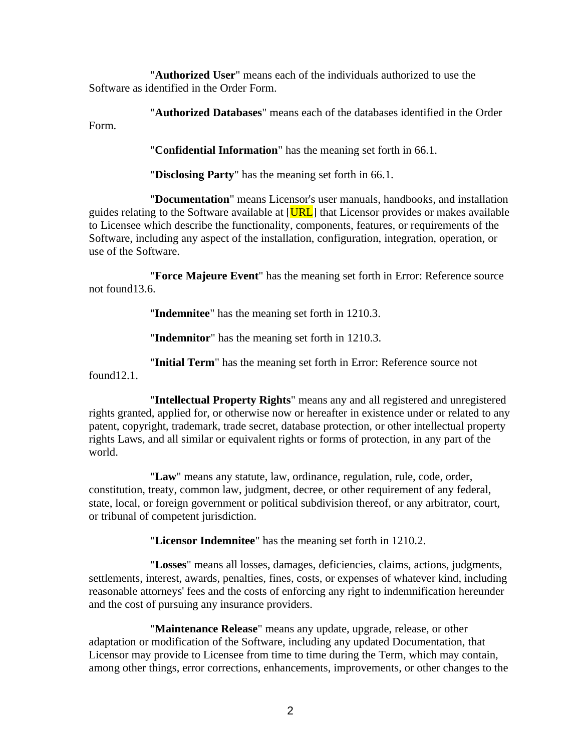"**Authorized User**" means each of the individuals authorized to use the Software as identified in the Order Form.

"**Authorized Databases**" means each of the databases identified in the Order Form.

"**Confidential Information**" has the meaning set forth in [66.1](#page-5-0).

"**Disclosing Party**" has the meaning set forth in [66.1.](#page-5-0)

"**Documentation**" means Licensor's user manuals, handbooks, and installation guides relating to the Software available at  $[URL]$  that Licensor provides or makes available to Licensee which describe the functionality, components, features, or requirements of the Software, including any aspect of the installation, configuration, integration, operation, or use of the Software.

"**Force Majeure Event**" has the meaning set forth in [Error: Reference source](#page-1-1)  [not found](#page-1-1)13.6.

<span id="page-1-1"></span>"**Indemnitee**" has the meaning set forth in [1210.3](#page-11-1).

"**Indemnitor**" has the meaning set forth in [1210.3](#page-11-1).

<span id="page-1-0"></span>"**Initial Term**" has the meaning set forth in [Error: Reference source not](#page-1-0) 

[found1](#page-1-0)2.1.

"**Intellectual Property Rights**" means any and all registered and unregistered rights granted, applied for, or otherwise now or hereafter in existence under or related to any patent, copyright, trademark, trade secret, database protection, or other intellectual property rights Laws, and all similar or equivalent rights or forms of protection, in any part of the world.

"**Law**" means any statute, law, ordinance, regulation, rule, code, order, constitution, treaty, common law, judgment, decree, or other requirement of any federal, state, local, or foreign government or political subdivision thereof, or any arbitrator, court, or tribunal of competent jurisdiction.

"**Licensor Indemnitee**" has the meaning set forth in [1210.2.](#page-11-0)

"**Losses**" means all losses, damages, deficiencies, claims, actions, judgments, settlements, interest, awards, penalties, fines, costs, or expenses of whatever kind, including reasonable attorneys' fees and the costs of enforcing any right to indemnification hereunder and the cost of pursuing any insurance providers.

"**Maintenance Release**" means any update, upgrade, release, or other adaptation or modification of the Software, including any updated Documentation, that Licensor may provide to Licensee from time to time during the Term, which may contain, among other things, error corrections, enhancements, improvements, or other changes to the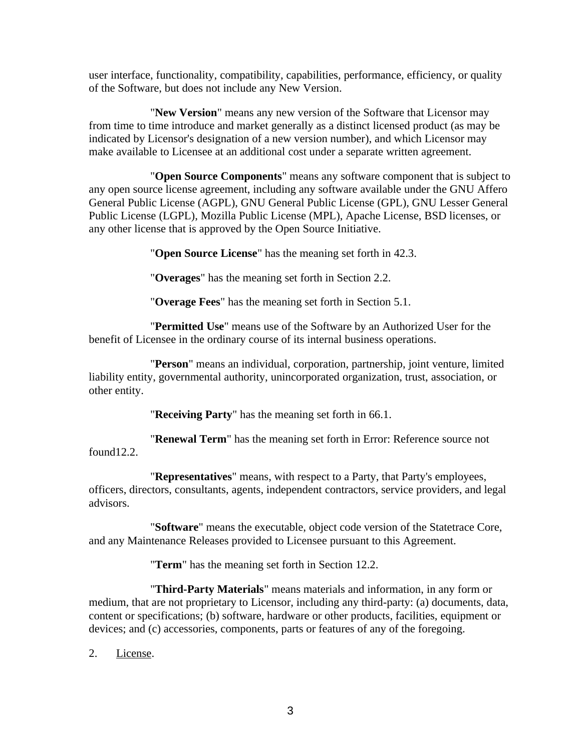user interface, functionality, compatibility, capabilities, performance, efficiency, or quality of the Software, but does not include any New Version.

"**New Version**" means any new version of the Software that Licensor may from time to time introduce and market generally as a distinct licensed product (as may be indicated by Licensor's designation of a new version number), and which Licensor may make available to Licensee at an additional cost under a separate written agreement.

"**Open Source Components**" means any software component that is subject to any open source license agreement, including any software available under the GNU Affero General Public License (AGPL), GNU General Public License (GPL), GNU Lesser General Public License (LGPL), Mozilla Public License (MPL), Apache License, BSD licenses, or any other license that is approved by the Open Source Initiative.

"**Open Source License**" has the meaning set forth in [42.3](#page-3-0).

"**Overages**" has the meaning set forth in Section 2.2.

"**Overage Fees**" has the meaning set forth in Section 5.1.

"**Permitted Use**" means use of the Software by an Authorized User for the benefit of Licensee in the ordinary course of its internal business operations.

"**Person**" means an individual, corporation, partnership, joint venture, limited liability entity, governmental authority, unincorporated organization, trust, association, or other entity.

"**Receiving Party**" has the meaning set forth in [66.1.](#page-5-0)

<span id="page-2-0"></span>"**Renewal Term**" has the meaning set forth in [Error: Reference source not](#page-2-0)  [found1](#page-2-0)2.2.

"**Representatives**" means, with respect to a Party, that Party's employees, officers, directors, consultants, agents, independent contractors, service providers, and legal advisors.

"**Software**" means the executable, object code version of the Statetrace Core, and any Maintenance Releases provided to Licensee pursuant to this Agreement.

"**Term**" has the meaning set forth in Section 12.2.

"**Third-Party Materials**" means materials and information, in any form or medium, that are not proprietary to Licensor, including any third-party: (a) documents, data, content or specifications; (b) software, hardware or other products, facilities, equipment or devices; and (c) accessories, components, parts or features of any of the foregoing.

2. License.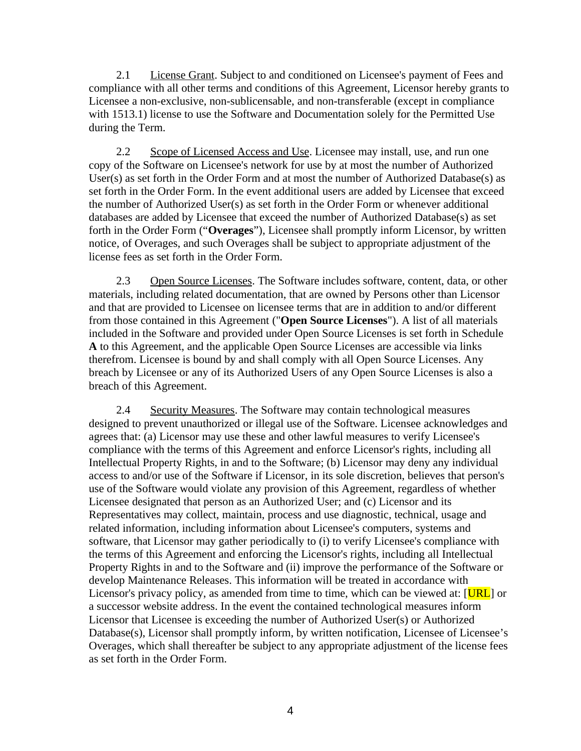2.1 License Grant. Subject to and conditioned on Licensee's payment of Fees and compliance with all other terms and conditions of this Agreement, Licensor hereby grants to Licensee a non-exclusive, non-sublicensable, and non-transferable (except in compliance with [1513.1](#page-14-0)) license to use the Software and Documentation solely for the Permitted Use during the Term.

2.2 Scope of Licensed Access and Use. Licensee may install, use, and run one copy of the Software on Licensee's network for use by at most the number of Authorized User(s) as set forth in the Order Form and at most the number of Authorized Database(s) as set forth in the Order Form. In the event additional users are added by Licensee that exceed the number of Authorized User(s) as set forth in the Order Form or whenever additional databases are added by Licensee that exceed the number of Authorized Database(s) as set forth in the Order Form ("**Overages**"), Licensee shall promptly inform Licensor, by written notice, of Overages, and such Overages shall be subject to appropriate adjustment of the license fees as set forth in the Order Form.

<span id="page-3-0"></span>2.3 Open Source Licenses. The Software includes software, content, data, or other materials, including related documentation, that are owned by Persons other than Licensor and that are provided to Licensee on licensee terms that are in addition to and/or different from those contained in this Agreement ("**Open Source Licenses**"). A list of all materials included in the Software and provided under Open Source Licenses is set forth in Schedule **A** to this Agreement, and the applicable Open Source Licenses are accessible via links therefrom. Licensee is bound by and shall comply with all Open Source Licenses. Any breach by Licensee or any of its Authorized Users of any Open Source Licenses is also a breach of this Agreement.

2.4 Security Measures. The Software may contain technological measures designed to prevent unauthorized or illegal use of the Software. Licensee acknowledges and agrees that: (a) Licensor may use these and other lawful measures to verify Licensee's compliance with the terms of this Agreement and enforce Licensor's rights, including all Intellectual Property Rights, in and to the Software; (b) Licensor may deny any individual access to and/or use of the Software if Licensor, in its sole discretion, believes that person's use of the Software would violate any provision of this Agreement, regardless of whether Licensee designated that person as an Authorized User; and (c) Licensor and its Representatives may collect, maintain, process and use diagnostic, technical, usage and related information, including information about Licensee's computers, systems and software, that Licensor may gather periodically to (i) to verify Licensee's compliance with the terms of this Agreement and enforcing the Licensor's rights, including all Intellectual Property Rights in and to the Software and (ii) improve the performance of the Software or develop Maintenance Releases. This information will be treated in accordance with Licensor's privacy policy, as amended from time to time, which can be viewed at: [URL] or a successor website address. In the event the contained technological measures inform Licensor that Licensee is exceeding the number of Authorized User(s) or Authorized Database(s), Licensor shall promptly inform, by written notification, Licensee of Licensee's Overages, which shall thereafter be subject to any appropriate adjustment of the license fees as set forth in the Order Form.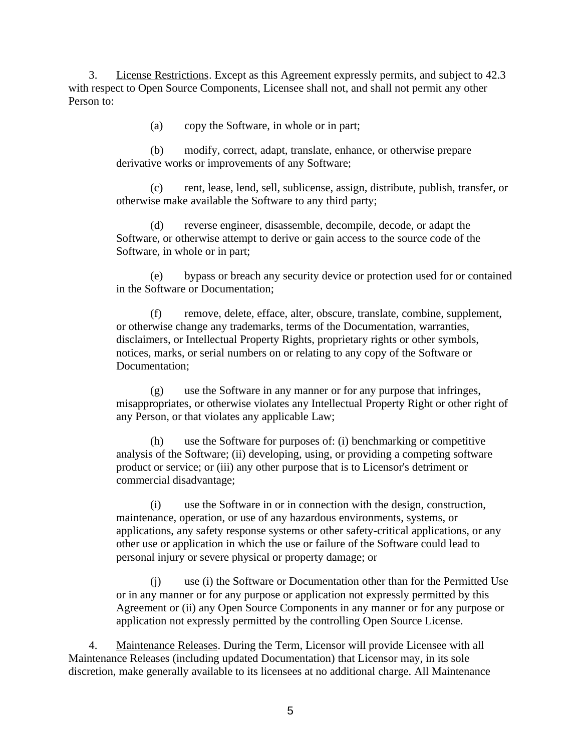3. License Restrictions. Except as this Agreement expressly permits, and subject to [42.3](#page-3-0) with respect to Open Source Components, Licensee shall not, and shall not permit any other Person to:

(a) copy the Software, in whole or in part;

(b) modify, correct, adapt, translate, enhance, or otherwise prepare derivative works or improvements of any Software;

(c) rent, lease, lend, sell, sublicense, assign, distribute, publish, transfer, or otherwise make available the Software to any third party;

(d) reverse engineer, disassemble, decompile, decode, or adapt the Software, or otherwise attempt to derive or gain access to the source code of the Software, in whole or in part;

(e) bypass or breach any security device or protection used for or contained in the Software or Documentation;

(f) remove, delete, efface, alter, obscure, translate, combine, supplement, or otherwise change any trademarks, terms of the Documentation, warranties, disclaimers, or Intellectual Property Rights, proprietary rights or other symbols, notices, marks, or serial numbers on or relating to any copy of the Software or Documentation;

(g) use the Software in any manner or for any purpose that infringes, misappropriates, or otherwise violates any Intellectual Property Right or other right of any Person, or that violates any applicable Law;

(h) use the Software for purposes of: (i) benchmarking or competitive analysis of the Software; (ii) developing, using, or providing a competing software product or service; or (iii) any other purpose that is to Licensor's detriment or commercial disadvantage;

(i) use the Software in or in connection with the design, construction, maintenance, operation, or use of any hazardous environments, systems, or applications, any safety response systems or other safety-critical applications, or any other use or application in which the use or failure of the Software could lead to personal injury or severe physical or property damage; or

(j) use (i) the Software or Documentation other than for the Permitted Use or in any manner or for any purpose or application not expressly permitted by this Agreement or (ii) any Open Source Components in any manner or for any purpose or application not expressly permitted by the controlling Open Source License.

4. Maintenance Releases. During the Term, Licensor will provide Licensee with all Maintenance Releases (including updated Documentation) that Licensor may, in its sole discretion, make generally available to its licensees at no additional charge. All Maintenance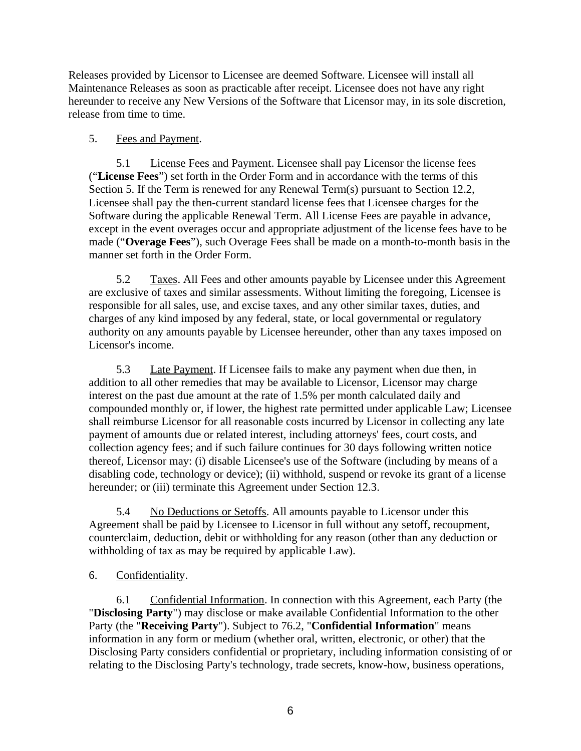Releases provided by Licensor to Licensee are deemed Software. Licensee will install all Maintenance Releases as soon as practicable after receipt. Licensee does not have any right hereunder to receive any New Versions of the Software that Licensor may, in its sole discretion, release from time to time.

## <span id="page-5-1"></span>5. Fees and Payment.

5.1 License Fees and Payment. Licensee shall pay Licensor the license fees ("**License Fees**") set forth in the Order Form and in accordance with the terms of this Section 5. If the Term is renewed for any Renewal Term(s) pursuant to Section 12.2, Licensee shall pay the then-current standard license fees that Licensee charges for the Software during the applicable Renewal Term. All License Fees are payable in advance, except in the event overages occur and appropriate adjustment of the license fees have to be made ("**Overage Fees**"), such Overage Fees shall be made on a month-to-month basis in the manner set forth in the Order Form.

5.2 Taxes. All Fees and other amounts payable by Licensee under this Agreement are exclusive of taxes and similar assessments. Without limiting the foregoing, Licensee is responsible for all sales, use, and excise taxes, and any other similar taxes, duties, and charges of any kind imposed by any federal, state, or local governmental or regulatory authority on any amounts payable by Licensee hereunder, other than any taxes imposed on Licensor's income.

5.3 Late Payment. If Licensee fails to make any payment when due then, in addition to all other remedies that may be available to Licensor, Licensor may charge interest on the past due amount at the rate of 1.5% per month calculated daily and compounded monthly or, if lower, the highest rate permitted under applicable Law; Licensee shall reimburse Licensor for all reasonable costs incurred by Licensor in collecting any late payment of amounts due or related interest, including attorneys' fees, court costs, and collection agency fees; and if such failure continues for 30 days following written notice thereof, Licensor may: (i) disable Licensee's use of the Software (including by means of a disabling code, technology or device); (ii) withhold, suspend or revoke its grant of a license hereunder; or (iii) terminate this Agreement under Section 12.3.

5.4 No Deductions or Setoffs. All amounts payable to Licensor under this Agreement shall be paid by Licensee to Licensor in full without any setoff, recoupment, counterclaim, deduction, debit or withholding for any reason (other than any deduction or withholding of tax as may be required by applicable Law).

### 6. Confidentiality.

<span id="page-5-0"></span>6.1 Confidential Information. In connection with this Agreement, each Party (the "**Disclosing Party**") may disclose or make available Confidential Information to the other Party (the "**Receiving Party**"). Subject to [76.2](#page-6-0), "**Confidential Information**" means information in any form or medium (whether oral, written, electronic, or other) that the Disclosing Party considers confidential or proprietary, including information consisting of or relating to the Disclosing Party's technology, trade secrets, know-how, business operations,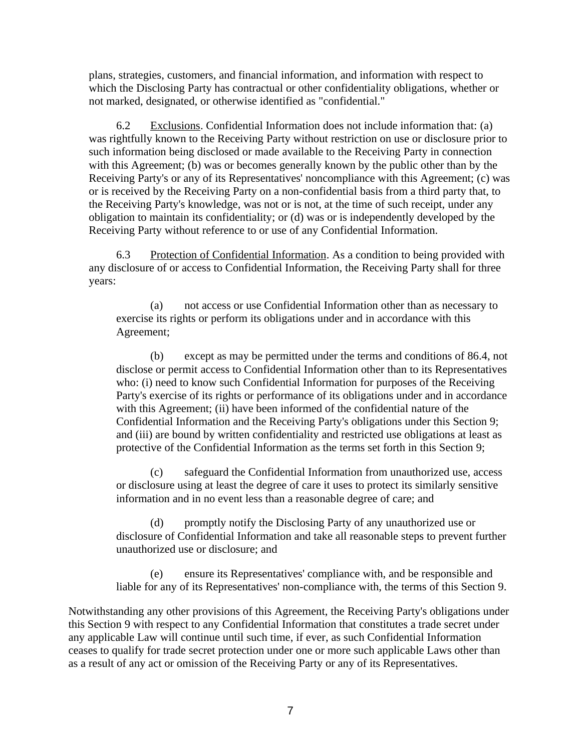plans, strategies, customers, and financial information, and information with respect to which the Disclosing Party has contractual or other confidentiality obligations, whether or not marked, designated, or otherwise identified as "confidential."

<span id="page-6-0"></span>6.2 Exclusions. Confidential Information does not include information that: (a) was rightfully known to the Receiving Party without restriction on use or disclosure prior to such information being disclosed or made available to the Receiving Party in connection with this Agreement; (b) was or becomes generally known by the public other than by the Receiving Party's or any of its Representatives' noncompliance with this Agreement; (c) was or is received by the Receiving Party on a non-confidential basis from a third party that, to the Receiving Party's knowledge, was not or is not, at the time of such receipt, under any obligation to maintain its confidentiality; or (d) was or is independently developed by the Receiving Party without reference to or use of any Confidential Information.

<span id="page-6-1"></span>6.3 Protection of Confidential Information. As a condition to being provided with any disclosure of or access to Confidential Information, the Receiving Party shall for three years:

(a) not access or use Confidential Information other than as necessary to exercise its rights or perform its obligations under and in accordance with this Agreement;

(b) except as may be permitted under the terms and conditions of [86.4,](#page-7-0) not disclose or permit access to Confidential Information other than to its Representatives who: (i) need to know such Confidential Information for purposes of the Receiving Party's exercise of its rights or performance of its obligations under and in accordance with this Agreement; (ii) have been informed of the confidential nature of the Confidential Information and the Receiving Party's obligations under this Section 9; and (iii) are bound by written confidentiality and restricted use obligations at least as protective of the Confidential Information as the terms set forth in this Section 9;

(c) safeguard the Confidential Information from unauthorized use, access or disclosure using at least the degree of care it uses to protect its similarly sensitive information and in no event less than a reasonable degree of care; and

(d) promptly notify the Disclosing Party of any unauthorized use or disclosure of Confidential Information and take all reasonable steps to prevent further unauthorized use or disclosure; and

(e) ensure its Representatives' compliance with, and be responsible and liable for any of its Representatives' non-compliance with, the terms of this Section 9.

Notwithstanding any other provisions of this Agreement, the Receiving Party's obligations under this Section 9 with respect to any Confidential Information that constitutes a trade secret under any applicable Law will continue until such time, if ever, as such Confidential Information ceases to qualify for trade secret protection under one or more such applicable Laws other than as a result of any act or omission of the Receiving Party or any of its Representatives.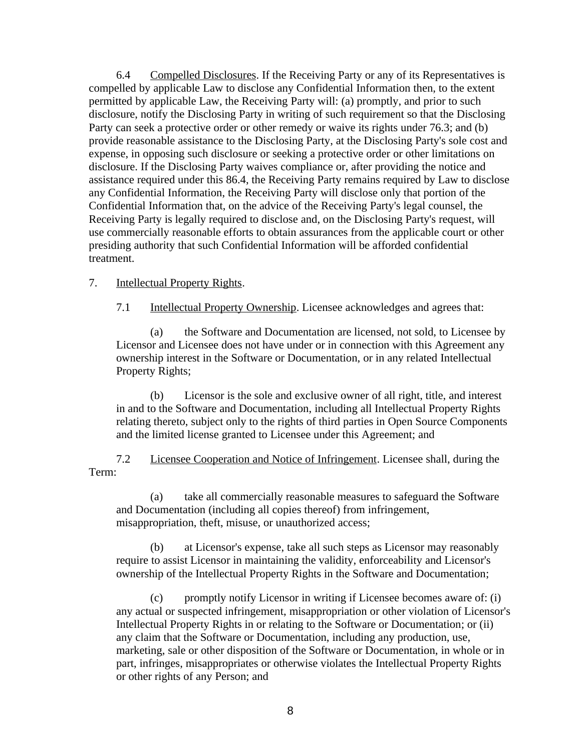<span id="page-7-0"></span>6.4 Compelled Disclosures. If the Receiving Party or any of its Representatives is compelled by applicable Law to disclose any Confidential Information then, to the extent permitted by applicable Law, the Receiving Party will: (a) promptly, and prior to such disclosure, notify the Disclosing Party in writing of such requirement so that the Disclosing Party can seek a protective order or other remedy or waive its rights under [76.3;](#page-6-1) and (b) provide reasonable assistance to the Disclosing Party, at the Disclosing Party's sole cost and expense, in opposing such disclosure or seeking a protective order or other limitations on disclosure. If the Disclosing Party waives compliance or, after providing the notice and assistance required under this [86.4](#page-7-0), the Receiving Party remains required by Law to disclose any Confidential Information, the Receiving Party will disclose only that portion of the Confidential Information that, on the advice of the Receiving Party's legal counsel, the Receiving Party is legally required to disclose and, on the Disclosing Party's request, will use commercially reasonable efforts to obtain assurances from the applicable court or other presiding authority that such Confidential Information will be afforded confidential treatment.

#### 7. Intellectual Property Rights.

<span id="page-7-1"></span>7.1 Intellectual Property Ownership. Licensee acknowledges and agrees that:

(a) the Software and Documentation are licensed, not sold, to Licensee by Licensor and Licensee does not have under or in connection with this Agreement any ownership interest in the Software or Documentation, or in any related Intellectual Property Rights;

(b) Licensor is the sole and exclusive owner of all right, title, and interest in and to the Software and Documentation, including all Intellectual Property Rights relating thereto, subject only to the rights of third parties in Open Source Components and the limited license granted to Licensee under this Agreement; and

7.2 Licensee Cooperation and Notice of Infringement. Licensee shall, during the Term:

(a) take all commercially reasonable measures to safeguard the Software and Documentation (including all copies thereof) from infringement, misappropriation, theft, misuse, or unauthorized access;

(b) at Licensor's expense, take all such steps as Licensor may reasonably require to assist Licensor in maintaining the validity, enforceability and Licensor's ownership of the Intellectual Property Rights in the Software and Documentation;

(c) promptly notify Licensor in writing if Licensee becomes aware of: (i) any actual or suspected infringement, misappropriation or other violation of Licensor's Intellectual Property Rights in or relating to the Software or Documentation; or (ii) any claim that the Software or Documentation, including any production, use, marketing, sale or other disposition of the Software or Documentation, in whole or in part, infringes, misappropriates or otherwise violates the Intellectual Property Rights or other rights of any Person; and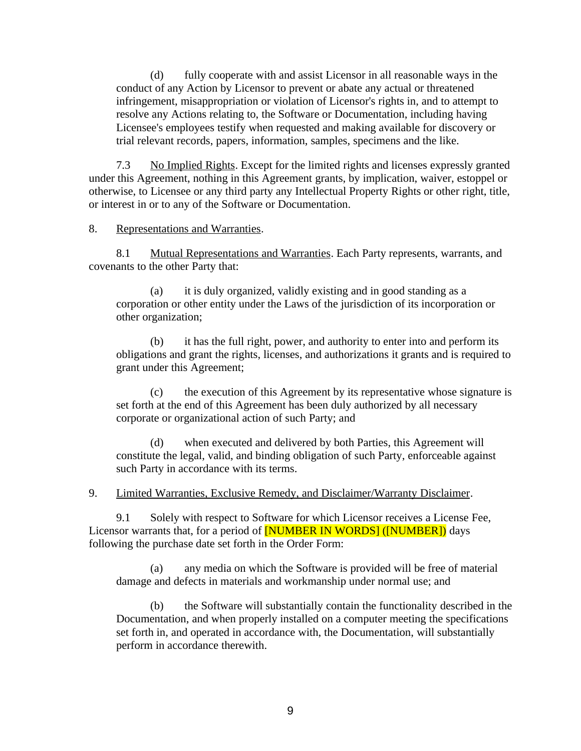(d) fully cooperate with and assist Licensor in all reasonable ways in the conduct of any Action by Licensor to prevent or abate any actual or threatened infringement, misappropriation or violation of Licensor's rights in, and to attempt to resolve any Actions relating to, the Software or Documentation, including having Licensee's employees testify when requested and making available for discovery or trial relevant records, papers, information, samples, specimens and the like.

7.3 No Implied Rights. Except for the limited rights and licenses expressly granted under this Agreement, nothing in this Agreement grants, by implication, waiver, estoppel or otherwise, to Licensee or any third party any Intellectual Property Rights or other right, title, or interest in or to any of the Software or Documentation.

#### 8. Representations and Warranties.

8.1 Mutual Representations and Warranties. Each Party represents, warrants, and covenants to the other Party that:

(a) it is duly organized, validly existing and in good standing as a corporation or other entity under the Laws of the jurisdiction of its incorporation or other organization;

(b) it has the full right, power, and authority to enter into and perform its obligations and grant the rights, licenses, and authorizations it grants and is required to grant under this Agreement;

(c) the execution of this Agreement by its representative whose signature is set forth at the end of this Agreement has been duly authorized by all necessary corporate or organizational action of such Party; and

(d) when executed and delivered by both Parties, this Agreement will constitute the legal, valid, and binding obligation of such Party, enforceable against such Party in accordance with its terms.

9. Limited Warranties, Exclusive Remedy, and Disclaimer/Warranty Disclaimer.

<span id="page-8-0"></span>9.1 Solely with respect to Software for which Licensor receives a License Fee, Licensor warrants that, for a period of **[NUMBER IN WORDS]** ([NUMBER]) days following the purchase date set forth in the Order Form:

<span id="page-8-2"></span>(a) any media on which the Software is provided will be free of material damage and defects in materials and workmanship under normal use; and

<span id="page-8-1"></span>(b) the Software will substantially contain the functionality described in the Documentation, and when properly installed on a computer meeting the specifications set forth in, and operated in accordance with, the Documentation, will substantially perform in accordance therewith.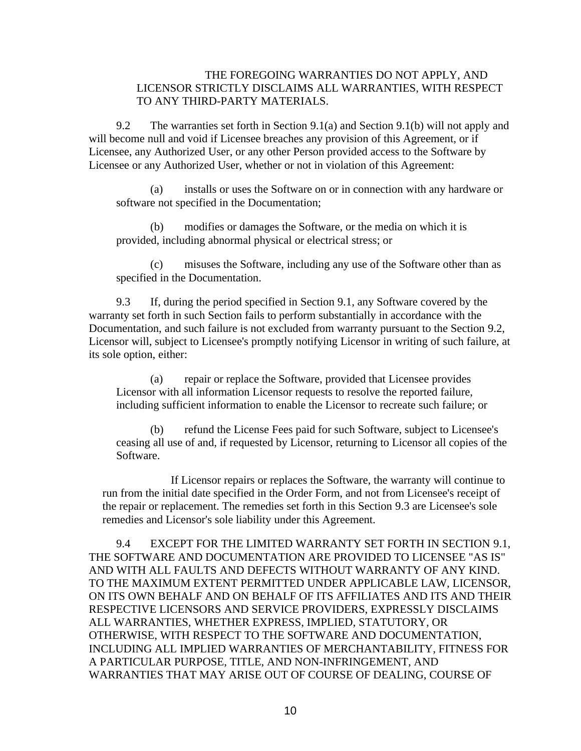#### <span id="page-9-1"></span>THE FOREGOING WARRANTIES DO NOT APPLY, AND LICENSOR STRICTLY DISCLAIMS ALL WARRANTIES, WITH RESPECT TO ANY THIRD-PARTY MATERIALS.

9.2 The warranties set forth in Section [9.1\(a\)](#page-8-2) and Section [9.1\(b\)](#page-8-1) will not apply and will become null and void if Licensee breaches any provision of this Agreement, or if Licensee, any Authorized User, or any other Person provided access to the Software by Licensee or any Authorized User, whether or not in violation of this Agreement:

(a) installs or uses the Software on or in connection with any hardware or software not specified in the Documentation;

(b) modifies or damages the Software, or the media on which it is provided, including abnormal physical or electrical stress; or

<span id="page-9-0"></span>(c) misuses the Software, including any use of the Software other than as specified in the Documentation.

9.3 If, during the period specified in Section [9.1,](#page-8-0) any Software covered by the warranty set forth in such Section fails to perform substantially in accordance with the Documentation, and such failure is not excluded from warranty pursuant to the Section [9.2](#page-9-1), Licensor will, subject to Licensee's promptly notifying Licensor in writing of such failure, at its sole option, either:

(a) repair or replace the Software, provided that Licensee provides Licensor with all information Licensor requests to resolve the reported failure, including sufficient information to enable the Licensor to recreate such failure; or

<span id="page-9-2"></span>(b) refund the License Fees paid for such Software, subject to Licensee's ceasing all use of and, if requested by Licensor, returning to Licensor all copies of the Software.

If Licensor repairs or replaces the Software, the warranty will continue to run from the initial date specified in the Order Form, and not from Licensee's receipt of the repair or replacement. The remedies set forth in this Section [9.3](#page-9-0) are Licensee's sole remedies and Licensor's sole liability under this Agreement.

9.4 EXCEPT FOR THE LIMITED WARRANTY SET FORTH IN SECTION [9.1](#page-8-0), THE SOFTWARE AND DOCUMENTATION ARE PROVIDED TO LICENSEE "AS IS" AND WITH ALL FAULTS AND DEFECTS WITHOUT WARRANTY OF ANY KIND. TO THE MAXIMUM EXTENT PERMITTED UNDER APPLICABLE LAW, LICENSOR, ON ITS OWN BEHALF AND ON BEHALF OF ITS AFFILIATES AND ITS AND THEIR RESPECTIVE LICENSORS AND SERVICE PROVIDERS, EXPRESSLY DISCLAIMS ALL WARRANTIES, WHETHER EXPRESS, IMPLIED, STATUTORY, OR OTHERWISE, WITH RESPECT TO THE SOFTWARE AND DOCUMENTATION, INCLUDING ALL IMPLIED WARRANTIES OF MERCHANTABILITY, FITNESS FOR A PARTICULAR PURPOSE, TITLE, AND NON-INFRINGEMENT, AND WARRANTIES THAT MAY ARISE OUT OF COURSE OF DEALING, COURSE OF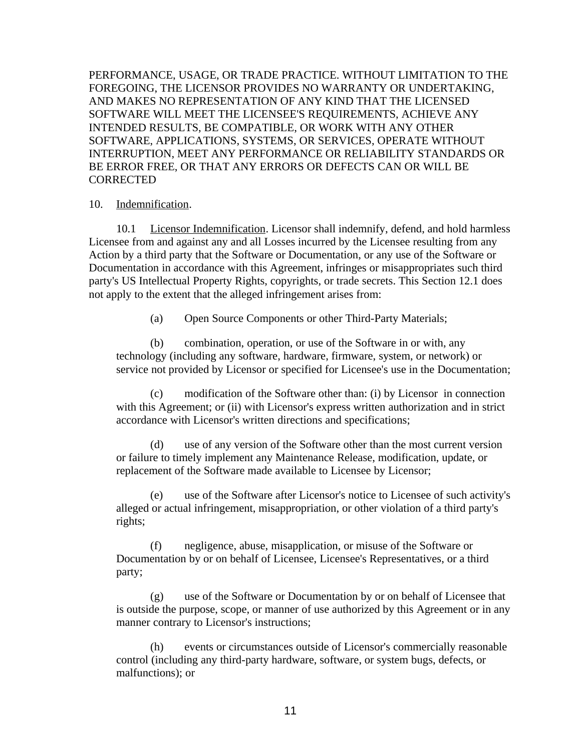PERFORMANCE, USAGE, OR TRADE PRACTICE. WITHOUT LIMITATION TO THE FOREGOING, THE LICENSOR PROVIDES NO WARRANTY OR UNDERTAKING, AND MAKES NO REPRESENTATION OF ANY KIND THAT THE LICENSED SOFTWARE WILL MEET THE LICENSEE'S REQUIREMENTS, ACHIEVE ANY INTENDED RESULTS, BE COMPATIBLE, OR WORK WITH ANY OTHER SOFTWARE, APPLICATIONS, SYSTEMS, OR SERVICES, OPERATE WITHOUT INTERRUPTION, MEET ANY PERFORMANCE OR RELIABILITY STANDARDS OR BE ERROR FREE, OR THAT ANY ERRORS OR DEFECTS CAN OR WILL BE **CORRECTED** 

#### <span id="page-10-1"></span>10. Indemnification.

<span id="page-10-0"></span>10.1 Licensor Indemnification. Licensor shall indemnify, defend, and hold harmless Licensee from and against any and all Losses incurred by the Licensee resulting from any Action by a third party that the Software or Documentation, or any use of the Software or Documentation in accordance with this Agreement, infringes or misappropriates such third party's US Intellectual Property Rights, copyrights, or trade secrets. This Section 12.1 does not apply to the extent that the alleged infringement arises from:

(a) Open Source Components or other Third-Party Materials;

(b) combination, operation, or use of the Software in or with, any technology (including any software, hardware, firmware, system, or network) or service not provided by Licensor or specified for Licensee's use in the Documentation;

(c) modification of the Software other than: (i) by Licensor in connection with this Agreement; or (ii) with Licensor's express written authorization and in strict accordance with Licensor's written directions and specifications;

(d) use of any version of the Software other than the most current version or failure to timely implement any Maintenance Release, modification, update, or replacement of the Software made available to Licensee by Licensor;

(e) use of the Software after Licensor's notice to Licensee of such activity's alleged or actual infringement, misappropriation, or other violation of a third party's rights;

(f) negligence, abuse, misapplication, or misuse of the Software or Documentation by or on behalf of Licensee, Licensee's Representatives, or a third party;

(g) use of the Software or Documentation by or on behalf of Licensee that is outside the purpose, scope, or manner of use authorized by this Agreement or in any manner contrary to Licensor's instructions;

(h) events or circumstances outside of Licensor's commercially reasonable control (including any third-party hardware, software, or system bugs, defects, or malfunctions); or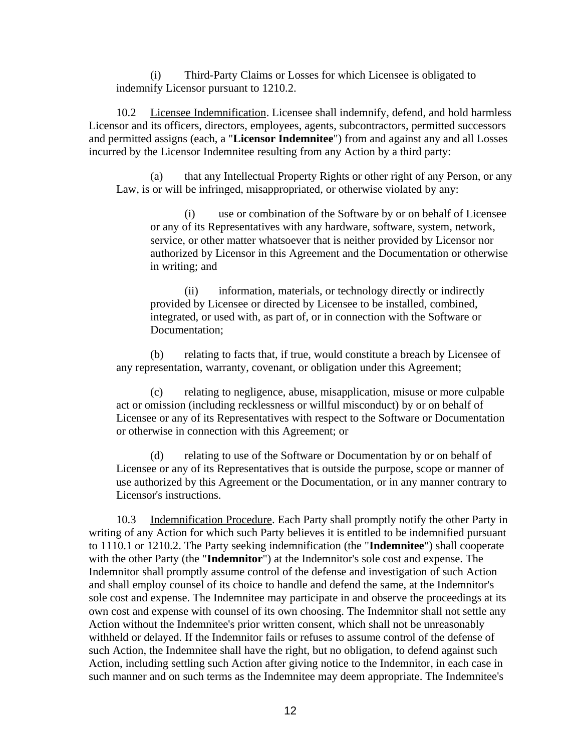<span id="page-11-0"></span>(i) Third-Party Claims or Losses for which Licensee is obligated to indemnify Licensor pursuant to [1210.2](#page-11-0).

10.2 Licensee Indemnification. Licensee shall indemnify, defend, and hold harmless Licensor and its officers, directors, employees, agents, subcontractors, permitted successors and permitted assigns (each, a "**Licensor Indemnitee**") from and against any and all Losses incurred by the Licensor Indemnitee resulting from any Action by a third party:

(a) that any Intellectual Property Rights or other right of any Person, or any Law, is or will be infringed, misappropriated, or otherwise violated by any:

(i) use or combination of the Software by or on behalf of Licensee or any of its Representatives with any hardware, software, system, network, service, or other matter whatsoever that is neither provided by Licensor nor authorized by Licensor in this Agreement and the Documentation or otherwise in writing; and

(ii) information, materials, or technology directly or indirectly provided by Licensee or directed by Licensee to be installed, combined, integrated, or used with, as part of, or in connection with the Software or Documentation;

(b) relating to facts that, if true, would constitute a breach by Licensee of any representation, warranty, covenant, or obligation under this Agreement;

(c) relating to negligence, abuse, misapplication, misuse or more culpable act or omission (including recklessness or willful misconduct) by or on behalf of Licensee or any of its Representatives with respect to the Software or Documentation or otherwise in connection with this Agreement; or

(d) relating to use of the Software or Documentation by or on behalf of Licensee or any of its Representatives that is outside the purpose, scope or manner of use authorized by this Agreement or the Documentation, or in any manner contrary to Licensor's instructions.

<span id="page-11-1"></span>10.3 Indemnification Procedure. Each Party shall promptly notify the other Party in writing of any Action for which such Party believes it is entitled to be indemnified pursuant to [1110.1](#page-10-0) or [1210.2](#page-11-0). The Party seeking indemnification (the "**Indemnitee**") shall cooperate with the other Party (the "**Indemnitor**") at the Indemnitor's sole cost and expense. The Indemnitor shall promptly assume control of the defense and investigation of such Action and shall employ counsel of its choice to handle and defend the same, at the Indemnitor's sole cost and expense. The Indemnitee may participate in and observe the proceedings at its own cost and expense with counsel of its own choosing. The Indemnitor shall not settle any Action without the Indemnitee's prior written consent, which shall not be unreasonably withheld or delayed. If the Indemnitor fails or refuses to assume control of the defense of such Action, the Indemnitee shall have the right, but no obligation, to defend against such Action, including settling such Action after giving notice to the Indemnitor, in each case in such manner and on such terms as the Indemnitee may deem appropriate. The Indemnitee's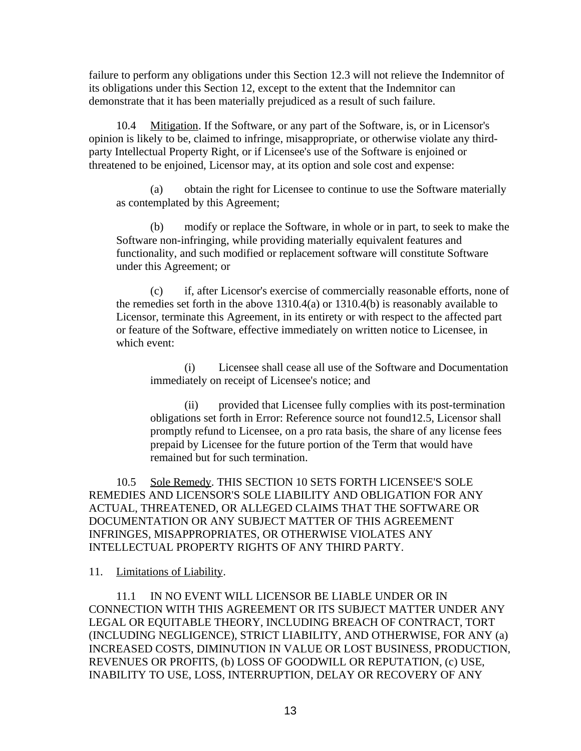failure to perform any obligations under this Section 12.3 will not relieve the Indemnitor of its obligations under this Section 12, except to the extent that the Indemnitor can demonstrate that it has been materially prejudiced as a result of such failure.

10.4 Mitigation. If the Software, or any part of the Software, is, or in Licensor's opinion is likely to be, claimed to infringe, misappropriate, or otherwise violate any thirdparty Intellectual Property Right, or if Licensee's use of the Software is enjoined or threatened to be enjoined, Licensor may, at its option and sole cost and expense:

<span id="page-12-2"></span>(a) obtain the right for Licensee to continue to use the Software materially as contemplated by this Agreement;

<span id="page-12-1"></span>(b) modify or replace the Software, in whole or in part, to seek to make the Software non-infringing, while providing materially equivalent features and functionality, and such modified or replacement software will constitute Software under this Agreement; or

(c) if, after Licensor's exercise of commercially reasonable efforts, none of the remedies set forth in the above [1310.4\(a\)](#page-12-2) or [1310.4\(b\)](#page-12-1) is reasonably available to Licensor, terminate this Agreement, in its entirety or with respect to the affected part or feature of the Software, effective immediately on written notice to Licensee, in which event:

(i) Licensee shall cease all use of the Software and Documentation immediately on receipt of Licensee's notice; and

<span id="page-12-0"></span>(ii) provided that Licensee fully complies with its post-termination obligations set forth in [Error: Reference source not found1](#page-12-0)2.5, Licensor shall promptly refund to Licensee, on a pro rata basis, the share of any license fees prepaid by Licensee for the future portion of the Term that would have remained but for such termination.

10.5 Sole Remedy. THIS SECTION 10 SETS FORTH LICENSEE'S SOLE REMEDIES AND LICENSOR'S SOLE LIABILITY AND OBLIGATION FOR ANY ACTUAL, THREATENED, OR ALLEGED CLAIMS THAT THE SOFTWARE OR DOCUMENTATION OR ANY SUBJECT MATTER OF THIS AGREEMENT INFRINGES, MISAPPROPRIATES, OR OTHERWISE VIOLATES ANY INTELLECTUAL PROPERTY RIGHTS OF ANY THIRD PARTY.

<span id="page-12-3"></span>11. Limitations of Liability.

11.1 IN NO EVENT WILL LICENSOR BE LIABLE UNDER OR IN CONNECTION WITH THIS AGREEMENT OR ITS SUBJECT MATTER UNDER ANY LEGAL OR EQUITABLE THEORY, INCLUDING BREACH OF CONTRACT, TORT (INCLUDING NEGLIGENCE), STRICT LIABILITY, AND OTHERWISE, FOR ANY (a) INCREASED COSTS, DIMINUTION IN VALUE OR LOST BUSINESS, PRODUCTION, REVENUES OR PROFITS, (b) LOSS OF GOODWILL OR REPUTATION, (c) USE, INABILITY TO USE, LOSS, INTERRUPTION, DELAY OR RECOVERY OF ANY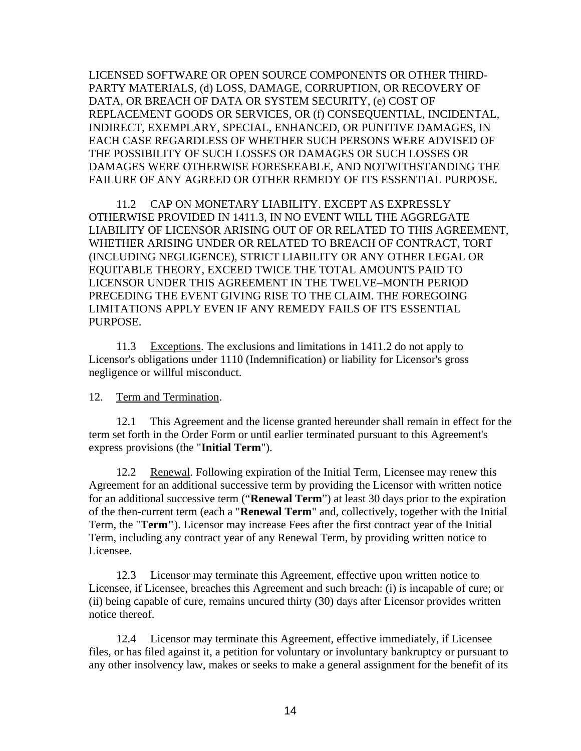LICENSED SOFTWARE OR OPEN SOURCE COMPONENTS OR OTHER THIRD-PARTY MATERIALS, (d) LOSS, DAMAGE, CORRUPTION, OR RECOVERY OF DATA, OR BREACH OF DATA OR SYSTEM SECURITY, (e) COST OF REPLACEMENT GOODS OR SERVICES, OR (f) CONSEQUENTIAL, INCIDENTAL, INDIRECT, EXEMPLARY, SPECIAL, ENHANCED, OR PUNITIVE DAMAGES, IN EACH CASE REGARDLESS OF WHETHER SUCH PERSONS WERE ADVISED OF THE POSSIBILITY OF SUCH LOSSES OR DAMAGES OR SUCH LOSSES OR DAMAGES WERE OTHERWISE FORESEEABLE, AND NOTWITHSTANDING THE FAILURE OF ANY AGREED OR OTHER REMEDY OF ITS ESSENTIAL PURPOSE.

<span id="page-13-0"></span>11.2 CAP ON MONETARY LIABILITY. EXCEPT AS EXPRESSLY OTHERWISE PROVIDED IN [1411.3](#page-13-1), IN NO EVENT WILL THE AGGREGATE LIABILITY OF LICENSOR ARISING OUT OF OR RELATED TO THIS AGREEMENT, WHETHER ARISING UNDER OR RELATED TO BREACH OF CONTRACT, TORT (INCLUDING NEGLIGENCE), STRICT LIABILITY OR ANY OTHER LEGAL OR EQUITABLE THEORY, EXCEED TWICE THE TOTAL AMOUNTS PAID TO LICENSOR UNDER THIS AGREEMENT IN THE TWELVE–MONTH PERIOD PRECEDING THE EVENT GIVING RISE TO THE CLAIM. THE FOREGOING LIMITATIONS APPLY EVEN IF ANY REMEDY FAILS OF ITS ESSENTIAL PURPOSE.

<span id="page-13-1"></span>11.3 Exceptions. The exclusions and limitations in [1411.2](#page-13-0) do not apply to Licensor's obligations under [1110](#page-10-1) (Indemnification) or liability for Licensor's gross negligence or willful misconduct.

12. Term and Termination.

12.1 This Agreement and the license granted hereunder shall remain in effect for the term set forth in the Order Form or until earlier terminated pursuant to this Agreement's express provisions (the "**Initial Term**").

12.2 Renewal. Following expiration of the Initial Term, Licensee may renew this Agreement for an additional successive term by providing the Licensor with written notice for an additional successive term ("**Renewal Term**") at least 30 days prior to the expiration of the then-current term (each a "**Renewal Term**" and, collectively, together with the Initial Term, the "**Term"**). Licensor may increase Fees after the first contract year of the Initial Term, including any contract year of any Renewal Term, by providing written notice to Licensee.

12.3 Licensor may terminate this Agreement, effective upon written notice to Licensee, if Licensee, breaches this Agreement and such breach: (i) is incapable of cure; or (ii) being capable of cure, remains uncured thirty (30) days after Licensor provides written notice thereof.

12.4 Licensor may terminate this Agreement, effective immediately, if Licensee files, or has filed against it, a petition for voluntary or involuntary bankruptcy or pursuant to any other insolvency law, makes or seeks to make a general assignment for the benefit of its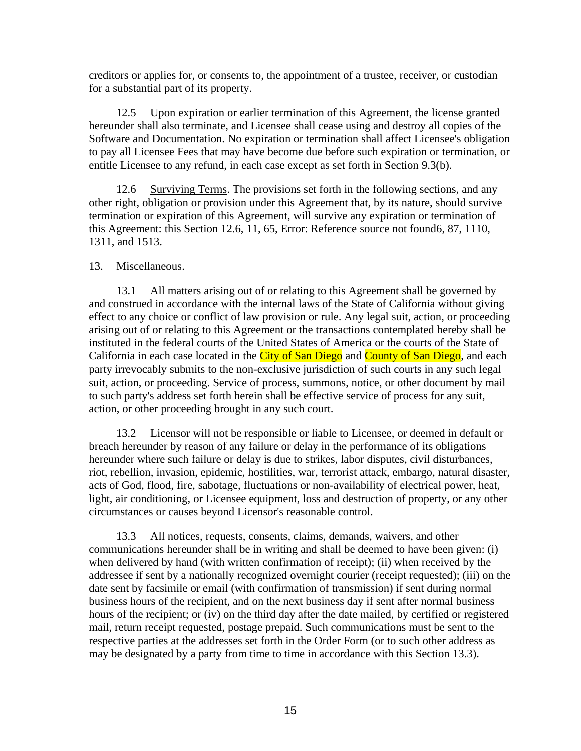creditors or applies for, or consents to, the appointment of a trustee, receiver, or custodian for a substantial part of its property.

12.5 Upon expiration or earlier termination of this Agreement, the license granted hereunder shall also terminate, and Licensee shall cease using and destroy all copies of the Software and Documentation. No expiration or termination shall affect Licensee's obligation to pay all Licensee Fees that may have become due before such expiration or termination, or entitle Licensee to any refund, in each case except as set forth in Section [9.3\(b\).](#page-9-2)

12.6 Surviving Terms. The provisions set forth in the following sections, and any other right, obligation or provision under this Agreement that, by its nature, should survive termination or expiration of this Agreement, will survive any expiration or termination of this Agreement: this Section 12.6, [11](#page-0-0), [65](#page-5-1), [Error: Reference source not found](#page-14-3)6, [87](#page-7-1), [1110](#page-10-1), [1311,](#page-12-3) and [1513](#page-14-2).

#### <span id="page-14-3"></span><span id="page-14-2"></span>13. Miscellaneous.

<span id="page-14-0"></span>13.1 All matters arising out of or relating to this Agreement shall be governed by and construed in accordance with the internal laws of the State of California without giving effect to any choice or conflict of law provision or rule. Any legal suit, action, or proceeding arising out of or relating to this Agreement or the transactions contemplated hereby shall be instituted in the federal courts of the United States of America or the courts of the State of California in each case located in the City of San Diego and County of San Diego, and each party irrevocably submits to the non-exclusive jurisdiction of such courts in any such legal suit, action, or proceeding. Service of process, summons, notice, or other document by mail to such party's address set forth herein shall be effective service of process for any suit, action, or other proceeding brought in any such court.

13.2 Licensor will not be responsible or liable to Licensee, or deemed in default or breach hereunder by reason of any failure or delay in the performance of its obligations hereunder where such failure or delay is due to strikes, labor disputes, civil disturbances, riot, rebellion, invasion, epidemic, hostilities, war, terrorist attack, embargo, natural disaster, acts of God, flood, fire, sabotage, fluctuations or non-availability of electrical power, heat, light, air conditioning, or Licensee equipment, loss and destruction of property, or any other circumstances or causes beyond Licensor's reasonable control.

<span id="page-14-1"></span>13.3 All notices, requests, consents, claims, demands, waivers, and other communications hereunder shall be in writing and shall be deemed to have been given: (i) when delivered by hand (with written confirmation of receipt); (ii) when received by the addressee if sent by a nationally recognized overnight courier (receipt requested); (iii) on the date sent by facsimile or email (with confirmation of transmission) if sent during normal business hours of the recipient, and on the next business day if sent after normal business hours of the recipient; or (iv) on the third day after the date mailed, by certified or registered mail, return receipt requested, postage prepaid. Such communications must be sent to the respective parties at the addresses set forth in the Order Form (or to such other address as may be designated by a party from time to time in accordance with this Section [13.3](#page-14-1)).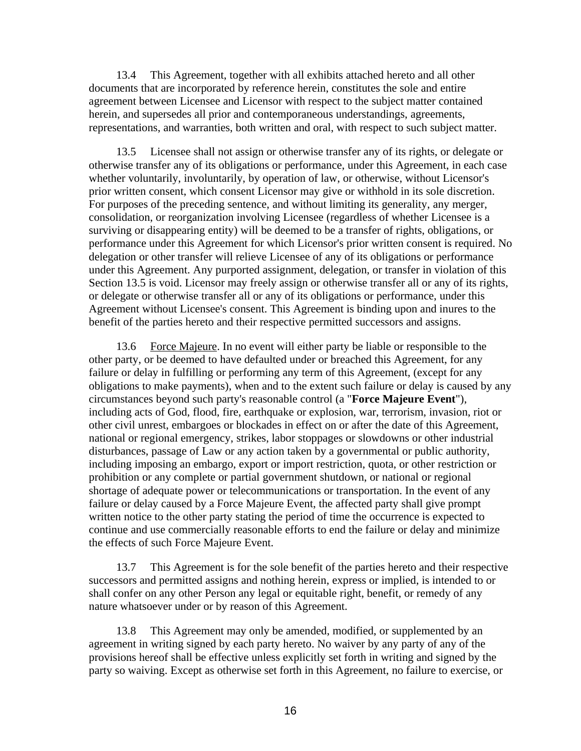13.4 This Agreement, together with all exhibits attached hereto and all other documents that are incorporated by reference herein, constitutes the sole and entire agreement between Licensee and Licensor with respect to the subject matter contained herein, and supersedes all prior and contemporaneous understandings, agreements, representations, and warranties, both written and oral, with respect to such subject matter.

<span id="page-15-0"></span>13.5 Licensee shall not assign or otherwise transfer any of its rights, or delegate or otherwise transfer any of its obligations or performance, under this Agreement, in each case whether voluntarily, involuntarily, by operation of law, or otherwise, without Licensor's prior written consent, which consent Licensor may give or withhold in its sole discretion. For purposes of the preceding sentence, and without limiting its generality, any merger, consolidation, or reorganization involving Licensee (regardless of whether Licensee is a surviving or disappearing entity) will be deemed to be a transfer of rights, obligations, or performance under this Agreement for which Licensor's prior written consent is required. No delegation or other transfer will relieve Licensee of any of its obligations or performance under this Agreement. Any purported assignment, delegation, or transfer in violation of this Section [13.5](#page-15-0) is void. Licensor may freely assign or otherwise transfer all or any of its rights, or delegate or otherwise transfer all or any of its obligations or performance, under this Agreement without Licensee's consent. This Agreement is binding upon and inures to the benefit of the parties hereto and their respective permitted successors and assigns.

13.6 Force Majeure. In no event will either party be liable or responsible to the other party, or be deemed to have defaulted under or breached this Agreement, for any failure or delay in fulfilling or performing any term of this Agreement, (except for any obligations to make payments), when and to the extent such failure or delay is caused by any circumstances beyond such party's reasonable control (a "**Force Majeure Event**"), including acts of God, flood, fire, earthquake or explosion, war, terrorism, invasion, riot or other civil unrest, embargoes or blockades in effect on or after the date of this Agreement, national or regional emergency, strikes, labor stoppages or slowdowns or other industrial disturbances, passage of Law or any action taken by a governmental or public authority, including imposing an embargo, export or import restriction, quota, or other restriction or prohibition or any complete or partial government shutdown, or national or regional shortage of adequate power or telecommunications or transportation. In the event of any failure or delay caused by a Force Majeure Event, the affected party shall give prompt written notice to the other party stating the period of time the occurrence is expected to continue and use commercially reasonable efforts to end the failure or delay and minimize the effects of such Force Majeure Event.

13.7 This Agreement is for the sole benefit of the parties hereto and their respective successors and permitted assigns and nothing herein, express or implied, is intended to or shall confer on any other Person any legal or equitable right, benefit, or remedy of any nature whatsoever under or by reason of this Agreement.

13.8 This Agreement may only be amended, modified, or supplemented by an agreement in writing signed by each party hereto. No waiver by any party of any of the provisions hereof shall be effective unless explicitly set forth in writing and signed by the party so waiving. Except as otherwise set forth in this Agreement, no failure to exercise, or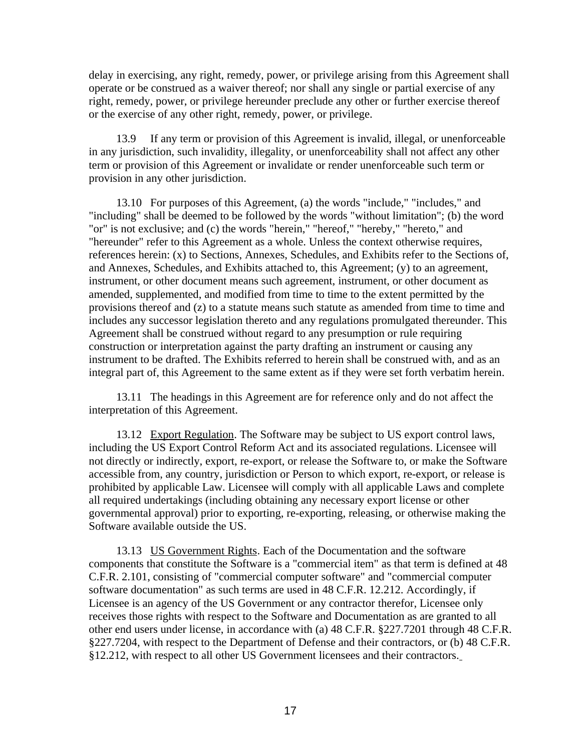delay in exercising, any right, remedy, power, or privilege arising from this Agreement shall operate or be construed as a waiver thereof; nor shall any single or partial exercise of any right, remedy, power, or privilege hereunder preclude any other or further exercise thereof or the exercise of any other right, remedy, power, or privilege.

13.9 If any term or provision of this Agreement is invalid, illegal, or unenforceable in any jurisdiction, such invalidity, illegality, or unenforceability shall not affect any other term or provision of this Agreement or invalidate or render unenforceable such term or provision in any other jurisdiction.

13.10 For purposes of this Agreement, (a) the words "include," "includes," and "including" shall be deemed to be followed by the words "without limitation"; (b) the word "or" is not exclusive; and (c) the words "herein," "hereof," "hereby," "hereto," and "hereunder" refer to this Agreement as a whole. Unless the context otherwise requires, references herein: (x) to Sections, Annexes, Schedules, and Exhibits refer to the Sections of, and Annexes, Schedules, and Exhibits attached to, this Agreement; (y) to an agreement, instrument, or other document means such agreement, instrument, or other document as amended, supplemented, and modified from time to time to the extent permitted by the provisions thereof and (z) to a statute means such statute as amended from time to time and includes any successor legislation thereto and any regulations promulgated thereunder. This Agreement shall be construed without regard to any presumption or rule requiring construction or interpretation against the party drafting an instrument or causing any instrument to be drafted. The Exhibits referred to herein shall be construed with, and as an integral part of, this Agreement to the same extent as if they were set forth verbatim herein.

13.11 The headings in this Agreement are for reference only and do not affect the interpretation of this Agreement.

13.12 Export Regulation. The Software may be subject to US export control laws, including the US Export Control Reform Act and its associated regulations. Licensee will not directly or indirectly, export, re-export, or release the Software to, or make the Software accessible from, any country, jurisdiction or Person to which export, re-export, or release is prohibited by applicable Law. Licensee will comply with all applicable Laws and complete all required undertakings (including obtaining any necessary export license or other governmental approval) prior to exporting, re-exporting, releasing, or otherwise making the Software available outside the US.

13.13 US Government Rights. Each of the Documentation and the software components that constitute the Software is a "commercial item" as that term is defined at 48 C.F.R. 2.101, consisting of "commercial computer software" and "commercial computer software documentation" as such terms are used in 48 C.F.R. 12.212. Accordingly, if Licensee is an agency of the US Government or any contractor therefor, Licensee only receives those rights with respect to the Software and Documentation as are granted to all other end users under license, in accordance with (a) 48 C.F.R. §227.7201 through 48 C.F.R. §227.7204, with respect to the Department of Defense and their contractors, or (b) 48 C.F.R. §12.212, with respect to all other US Government licensees and their contractors.